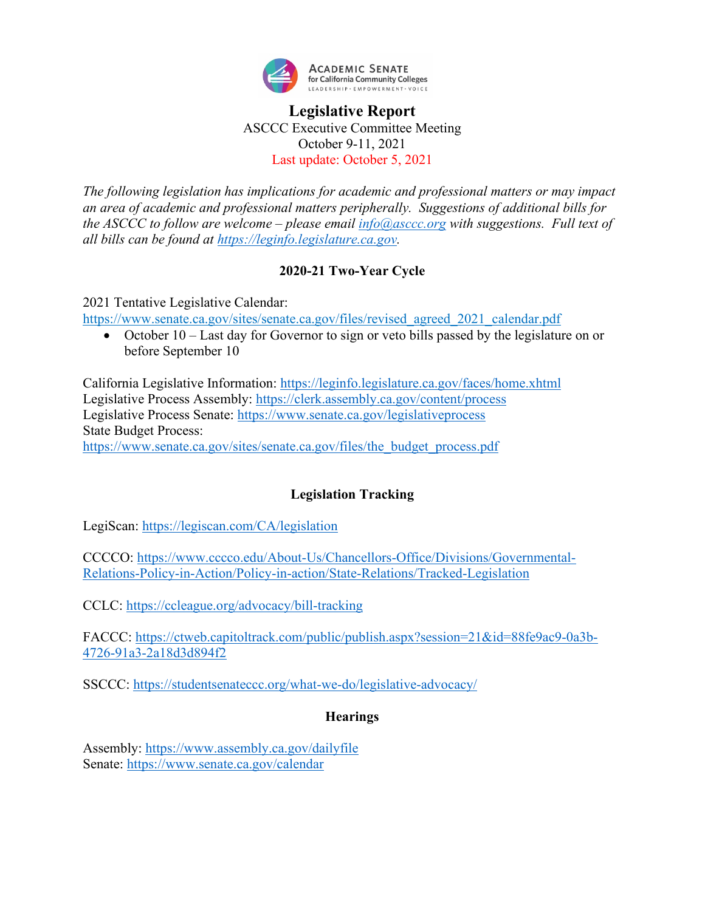

### **Legislative Report** ASCCC Executive Committee Meeting October 9-11, 2021 Last update: October 5, 2021

*The following legislation has implications for academic and professional matters or may impact an area of academic and professional matters peripherally. Suggestions of additional bills for the ASCCC to follow are welcome – please email [info@asccc.org](mailto:info@asccc.org) with suggestions. Full text of all bills can be found at [https://leginfo.legislature.ca.gov.](https://leginfo.legislature.ca.gov/)*

### **2020-21 Two-Year Cycle**

2021 Tentative Legislative Calendar:

[https://www.senate.ca.gov/sites/senate.ca.gov/files/revised\\_agreed\\_2021\\_calendar.pdf](https://www.senate.ca.gov/sites/senate.ca.gov/files/revised_agreed_2021_calendar.pdf)

• October 10 – Last day for Governor to sign or veto bills passed by the legislature on or before September 10

California Legislative Information:<https://leginfo.legislature.ca.gov/faces/home.xhtml> Legislative Process Assembly:<https://clerk.assembly.ca.gov/content/process> Legislative Process Senate:<https://www.senate.ca.gov/legislativeprocess> State Budget Process: [https://www.senate.ca.gov/sites/senate.ca.gov/files/the\\_budget\\_process.pdf](https://www.senate.ca.gov/sites/senate.ca.gov/files/the_budget_process.pdf)

### **Legislation Tracking**

LegiScan:<https://legiscan.com/CA/legislation>

CCCCO: [https://www.cccco.edu/About-Us/Chancellors-Office/Divisions/Governmental-](https://www.cccco.edu/About-Us/Chancellors-Office/Divisions/Governmental-Relations-Policy-in-Action/Policy-in-action/State-Relations/Tracked-Legislation)[Relations-Policy-in-Action/Policy-in-action/State-Relations/Tracked-Legislation](https://www.cccco.edu/About-Us/Chancellors-Office/Divisions/Governmental-Relations-Policy-in-Action/Policy-in-action/State-Relations/Tracked-Legislation)

CCLC:<https://ccleague.org/advocacy/bill-tracking>

FACCC: [https://ctweb.capitoltrack.com/public/publish.aspx?session=21&id=88fe9ac9-0a3b-](https://ctweb.capitoltrack.com/public/publish.aspx?session=21&id=88fe9ac9-0a3b-4726-91a3-2a18d3d894f2)[4726-91a3-2a18d3d894f2](https://ctweb.capitoltrack.com/public/publish.aspx?session=21&id=88fe9ac9-0a3b-4726-91a3-2a18d3d894f2)

SSCCC:<https://studentsenateccc.org/what-we-do/legislative-advocacy/>

#### **Hearings**

Assembly:<https://www.assembly.ca.gov/dailyfile> Senate:<https://www.senate.ca.gov/calendar>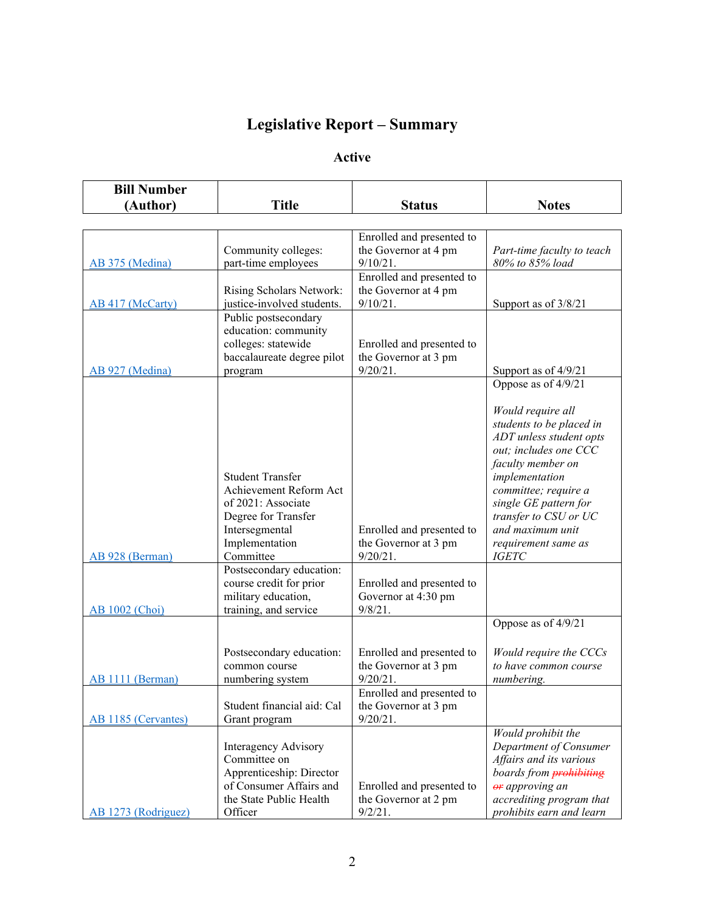# **Legislative Report – Summary**

### **Active**

| <b>Bill Number</b>  |                                                    |                                                   |                                                      |
|---------------------|----------------------------------------------------|---------------------------------------------------|------------------------------------------------------|
| (Author)            | <b>Title</b>                                       | <b>Status</b>                                     | <b>Notes</b>                                         |
|                     |                                                    |                                                   |                                                      |
|                     |                                                    | Enrolled and presented to                         |                                                      |
|                     | Community colleges:                                | the Governor at 4 pm                              | Part-time faculty to teach                           |
| AB 375 (Medina)     | part-time employees                                | $9/10/21$ .                                       | 80% to 85% load                                      |
|                     |                                                    | Enrolled and presented to                         |                                                      |
|                     | Rising Scholars Network:                           | the Governor at 4 pm                              |                                                      |
| AB 417 (McCarty)    | justice-involved students.                         | $9/10/21$ .                                       | Support as of 3/8/21                                 |
|                     | Public postsecondary                               |                                                   |                                                      |
|                     | education: community<br>colleges: statewide        |                                                   |                                                      |
|                     | baccalaureate degree pilot                         | Enrolled and presented to<br>the Governor at 3 pm |                                                      |
| AB 927 (Medina)     | program                                            | $9/20/21$ .                                       | Support as of 4/9/21                                 |
|                     |                                                    |                                                   | Oppose as of 4/9/21                                  |
|                     |                                                    |                                                   |                                                      |
|                     |                                                    |                                                   | Would require all                                    |
|                     |                                                    |                                                   | students to be placed in                             |
|                     |                                                    |                                                   | ADT unless student opts                              |
|                     |                                                    |                                                   | out; includes one CCC                                |
|                     |                                                    |                                                   | faculty member on                                    |
|                     | <b>Student Transfer</b>                            |                                                   | implementation                                       |
|                     | Achievement Reform Act                             |                                                   | committee; require a                                 |
|                     | of 2021: Associate<br>Degree for Transfer          |                                                   | single GE pattern for<br>transfer to CSU or UC       |
|                     | Intersegmental                                     | Enrolled and presented to                         | and maximum unit                                     |
|                     | Implementation                                     | the Governor at 3 pm                              | requirement same as                                  |
| AB 928 (Berman)     | Committee                                          | $9/20/21$ .                                       | <b>IGETC</b>                                         |
|                     | Postsecondary education:                           |                                                   |                                                      |
|                     | course credit for prior                            | Enrolled and presented to                         |                                                      |
|                     | military education,                                | Governor at 4:30 pm                               |                                                      |
| AB 1002 (Choi)      | training, and service                              | $9/8/21$ .                                        |                                                      |
|                     |                                                    |                                                   | Oppose as of 4/9/21                                  |
|                     |                                                    |                                                   |                                                      |
|                     | Postsecondary education:<br>common course          | Enrolled and presented to<br>the Governor at 3 pm | Would require the CCCs<br>to have common course      |
| AB 1111 (Berman)    | numbering system                                   | $9/20/21$ .                                       | numbering.                                           |
|                     |                                                    | Enrolled and presented to                         |                                                      |
|                     | Student financial aid: Cal                         | the Governor at 3 pm                              |                                                      |
| AB 1185 (Cervantes) | Grant program                                      | $9/20/21$ .                                       |                                                      |
|                     |                                                    |                                                   | Would prohibit the                                   |
|                     | Interagency Advisory                               |                                                   | Department of Consumer                               |
|                     | Committee on                                       |                                                   | Affairs and its various                              |
|                     | Apprenticeship: Director                           |                                                   | boards from <b>prohibiting</b>                       |
|                     | of Consumer Affairs and<br>the State Public Health | Enrolled and presented to                         | or approving an                                      |
|                     | Officer                                            | the Governor at 2 pm<br>9/2/21.                   | accrediting program that<br>prohibits earn and learn |
| AB 1273 (Rodriguez) |                                                    |                                                   |                                                      |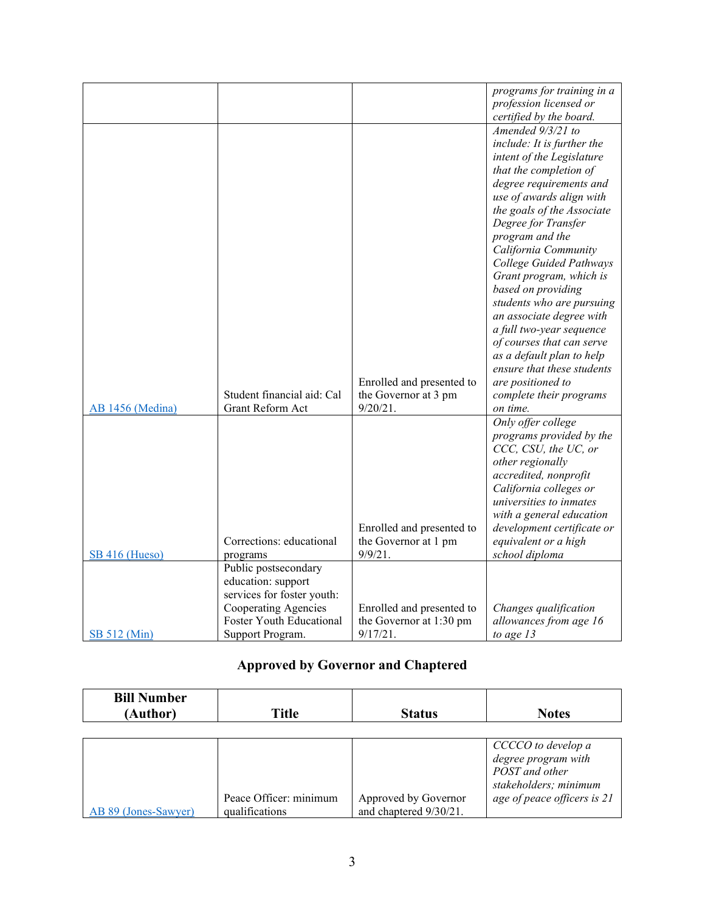|                  |                            |                           | programs for training in a |
|------------------|----------------------------|---------------------------|----------------------------|
|                  |                            |                           | profession licensed or     |
|                  |                            |                           | certified by the board.    |
|                  |                            |                           | Amended 9/3/21 to          |
|                  |                            |                           | include: It is further the |
|                  |                            |                           | intent of the Legislature  |
|                  |                            |                           | that the completion of     |
|                  |                            |                           | degree requirements and    |
|                  |                            |                           |                            |
|                  |                            |                           | use of awards align with   |
|                  |                            |                           | the goals of the Associate |
|                  |                            |                           | Degree for Transfer        |
|                  |                            |                           | program and the            |
|                  |                            |                           | California Community       |
|                  |                            |                           | College Guided Pathways    |
|                  |                            |                           | Grant program, which is    |
|                  |                            |                           | based on providing         |
|                  |                            |                           | students who are pursuing  |
|                  |                            |                           | an associate degree with   |
|                  |                            |                           | a full two-year sequence   |
|                  |                            |                           | of courses that can serve  |
|                  |                            |                           | as a default plan to help  |
|                  |                            |                           | ensure that these students |
|                  |                            | Enrolled and presented to | are positioned to          |
|                  | Student financial aid: Cal | the Governor at 3 pm      | complete their programs    |
| AB 1456 (Medina) | Grant Reform Act           | $9/20/21$ .               | on time.                   |
|                  |                            |                           | Only offer college         |
|                  |                            |                           | programs provided by the   |
|                  |                            |                           | CCC, CSU, the UC, or       |
|                  |                            |                           | other regionally           |
|                  |                            |                           | accredited, nonprofit      |
|                  |                            |                           | California colleges or     |
|                  |                            |                           | universities to inmates    |
|                  |                            |                           |                            |
|                  |                            |                           | with a general education   |
|                  | Corrections: educational   | Enrolled and presented to | development certificate or |
|                  |                            | the Governor at 1 pm      | equivalent or a high       |
| SB 416 (Hueso)   | programs                   | $9/9/21$ .                | school diploma             |
|                  | Public postsecondary       |                           |                            |
|                  | education: support         |                           |                            |
|                  | services for foster youth: |                           |                            |
|                  | Cooperating Agencies       | Enrolled and presented to | Changes qualification      |
|                  | Foster Youth Educational   | the Governor at 1:30 pm   | allowances from age 16     |
| SB 512 (Min)     | Support Program.           | 9/17/21.                  | to age $13$                |

## **Approved by Governor and Chaptered**

| <b>Bill Number</b><br>(Author) | Title                  | <b>Status</b>          | <b>Notes</b>                                                           |
|--------------------------------|------------------------|------------------------|------------------------------------------------------------------------|
|                                |                        |                        | CCCCO to develop a<br>degree program with                              |
|                                | Peace Officer: minimum | Approved by Governor   | POST and other<br>stakeholders; minimum<br>age of peace officers is 21 |
| AB 89 (Jones-Sawyer)           | qualifications         | and chaptered 9/30/21. |                                                                        |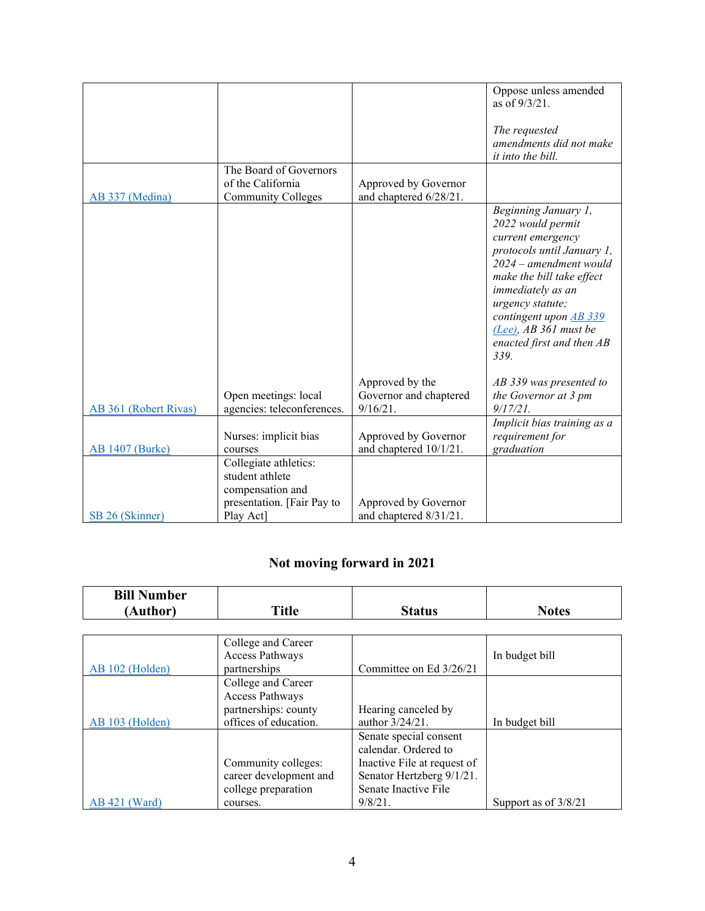|                        |                                                                                            |                                                | Oppose unless amended<br>as of 9/3/21.<br>The requested<br>amendments did not make                                                                                                                                                                                                      |
|------------------------|--------------------------------------------------------------------------------------------|------------------------------------------------|-----------------------------------------------------------------------------------------------------------------------------------------------------------------------------------------------------------------------------------------------------------------------------------------|
|                        |                                                                                            |                                                | it into the bill.                                                                                                                                                                                                                                                                       |
| AB 337 (Medina)        | The Board of Governors<br>of the California<br><b>Community Colleges</b>                   | Approved by Governor<br>and chaptered 6/28/21. |                                                                                                                                                                                                                                                                                         |
|                        |                                                                                            |                                                | Beginning January 1,<br>2022 would permit<br>current emergency<br>protocols until January 1,<br>2024 - amendment would<br>make the bill take effect<br>immediately as an<br>urgency statute;<br>contingent upon AB 339<br>$(Lee)$ , AB 361 must be<br>enacted first and then AB<br>339. |
|                        |                                                                                            | Approved by the                                | AB 339 was presented to                                                                                                                                                                                                                                                                 |
|                        | Open meetings: local                                                                       | Governor and chaptered                         | the Governor at 3 pm                                                                                                                                                                                                                                                                    |
| AB 361 (Robert Rivas)  | agencies: teleconferences.                                                                 | 9/16/21.                                       | $9/17/21$ .<br>Implicit bias training as a                                                                                                                                                                                                                                              |
| <b>AB 1407 (Burke)</b> | Nurses: implicit bias<br>courses                                                           | Approved by Governor<br>and chaptered 10/1/21. | requirement for<br>graduation                                                                                                                                                                                                                                                           |
|                        | Collegiate athletics:<br>student athlete<br>compensation and<br>presentation. [Fair Pay to | Approved by Governor                           |                                                                                                                                                                                                                                                                                         |
| SB 26 (Skinner)        | Play Act]                                                                                  | and chaptered 8/31/21.                         |                                                                                                                                                                                                                                                                                         |

## **Not moving forward in 2021**

| <b>Bill Number</b> |                        |                             |                        |
|--------------------|------------------------|-----------------------------|------------------------|
| (Author)           | <b>Title</b>           | <b>Status</b>               | <b>Notes</b>           |
|                    |                        |                             |                        |
|                    | College and Career     |                             |                        |
|                    | Access Pathways        |                             | In budget bill         |
| AB 102 (Holden)    | partnerships           | Committee on Ed 3/26/21     |                        |
|                    | College and Career     |                             |                        |
|                    | Access Pathways        |                             |                        |
|                    | partnerships: county   | Hearing canceled by         |                        |
| AB 103 (Holden)    | offices of education.  | author 3/24/21.             | In budget bill         |
|                    |                        | Senate special consent      |                        |
|                    |                        | calendar. Ordered to        |                        |
|                    | Community colleges:    | Inactive File at request of |                        |
|                    | career development and | Senator Hertzberg 9/1/21.   |                        |
|                    | college preparation    | Senate Inactive File        |                        |
| $AB$ 421 (Ward)    | courses.               | $9/8/21$ .                  | Support as of $3/8/21$ |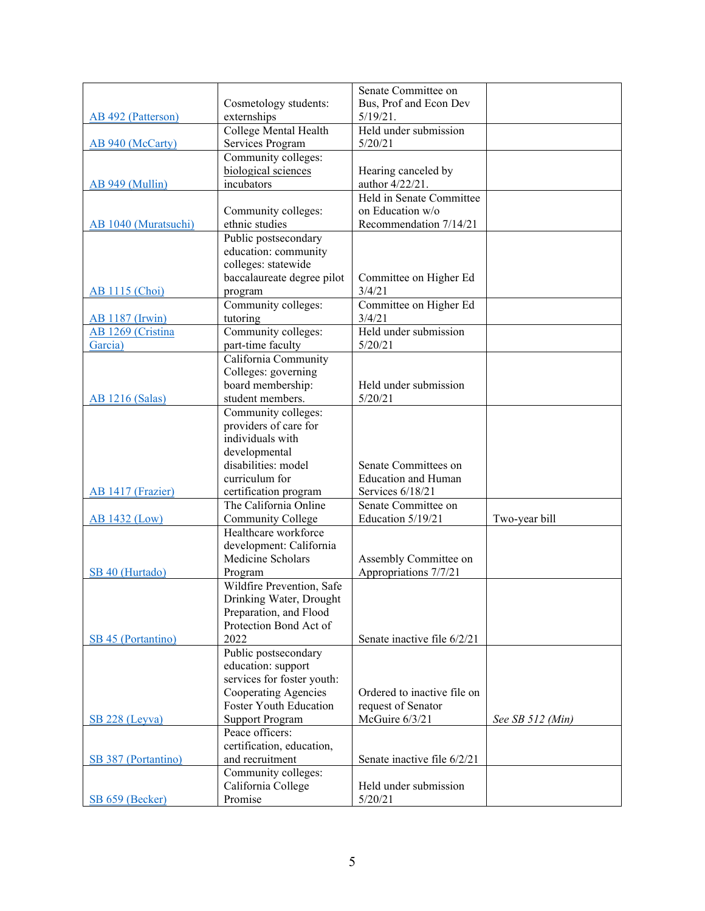|                        |                                           | Senate Committee on         |                  |
|------------------------|-------------------------------------------|-----------------------------|------------------|
|                        | Cosmetology students:                     | Bus, Prof and Econ Dev      |                  |
| AB 492 (Patterson)     | externships                               | 5/19/21.                    |                  |
|                        | College Mental Health                     | Held under submission       |                  |
| AB 940 (McCarty)       | Services Program                          | 5/20/21                     |                  |
|                        | Community colleges:                       |                             |                  |
|                        | biological sciences                       | Hearing canceled by         |                  |
| AB 949 (Mullin)        | incubators                                | author 4/22/21.             |                  |
|                        |                                           | Held in Senate Committee    |                  |
|                        | Community colleges:                       | on Education w/o            |                  |
| AB 1040 (Muratsuchi)   | ethnic studies                            | Recommendation 7/14/21      |                  |
|                        | Public postsecondary                      |                             |                  |
|                        | education: community                      |                             |                  |
|                        | colleges: statewide                       |                             |                  |
|                        | baccalaureate degree pilot                | Committee on Higher Ed      |                  |
| <b>AB 1115 (Choi)</b>  | program                                   | 3/4/21                      |                  |
|                        | Community colleges:                       | Committee on Higher Ed      |                  |
| <b>AB</b> 1187 (Irwin) | tutoring                                  | 3/4/21                      |                  |
| AB 1269 (Cristina      | Community colleges:                       | Held under submission       |                  |
| Garcia)                | part-time faculty                         | 5/20/21                     |                  |
|                        | California Community                      |                             |                  |
|                        | Colleges: governing                       |                             |                  |
|                        | board membership:                         | Held under submission       |                  |
| <b>AB</b> 1216 (Salas) | student members.                          | 5/20/21                     |                  |
|                        | Community colleges:                       |                             |                  |
|                        | providers of care for<br>individuals with |                             |                  |
|                        |                                           |                             |                  |
|                        | developmental<br>disabilities: model      | Senate Committees on        |                  |
|                        | curriculum for                            | <b>Education and Human</b>  |                  |
| AB 1417 (Frazier)      | certification program                     | Services 6/18/21            |                  |
|                        | The California Online                     | Senate Committee on         |                  |
| <b>AB 1432 (Low)</b>   | Community College                         | Education 5/19/21           | Two-year bill    |
|                        | Healthcare workforce                      |                             |                  |
|                        | development: California                   |                             |                  |
|                        | Medicine Scholars                         | Assembly Committee on       |                  |
| SB 40 (Hurtado)        | Program                                   | Appropriations 7/7/21       |                  |
|                        | Wildfire Prevention, Safe                 |                             |                  |
|                        | Drinking Water, Drought                   |                             |                  |
|                        | Preparation, and Flood                    |                             |                  |
|                        | Protection Bond Act of                    |                             |                  |
| SB 45 (Portantino)     | 2022                                      | Senate inactive file 6/2/21 |                  |
|                        | Public postsecondary                      |                             |                  |
|                        | education: support                        |                             |                  |
|                        | services for foster youth:                |                             |                  |
|                        | Cooperating Agencies                      | Ordered to inactive file on |                  |
|                        | Foster Youth Education                    | request of Senator          |                  |
| SB 228 (Leyva)         | <b>Support Program</b>                    | McGuire 6/3/21              | See SB 512 (Min) |
|                        | Peace officers:                           |                             |                  |
|                        | certification, education,                 |                             |                  |
| SB 387 (Portantino)    | and recruitment                           | Senate inactive file 6/2/21 |                  |
|                        | Community colleges:                       |                             |                  |
|                        | California College                        | Held under submission       |                  |
| $SB 659$ (Becker)      | Promise                                   | 5/20/21                     |                  |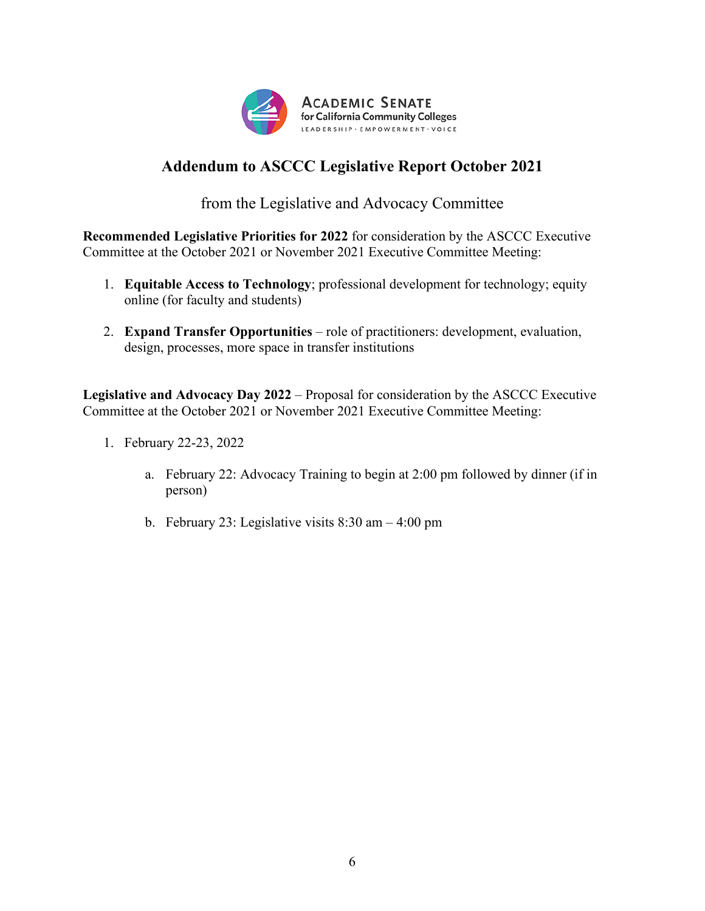

# **Addendum to ASCCC Legislative Report October 2021**

from the Legislative and Advocacy Committee

**Recommended Legislative Priorities for 2022** for consideration by the ASCCC Executive Committee at the October 2021 or November 2021 Executive Committee Meeting:

- 1. **Equitable Access to Technology**; professional development for technology; equity online (for faculty and students)
- 2. **Expand Transfer Opportunities** role of practitioners: development, evaluation, design, processes, more space in transfer institutions

**Legislative and Advocacy Day 2022** – Proposal for consideration by the ASCCC Executive Committee at the October 2021 or November 2021 Executive Committee Meeting:

- 1. February 22-23, 2022
	- a. February 22: Advocacy Training to begin at 2:00 pm followed by dinner (if in person)
	- b. February 23: Legislative visits  $8:30$  am  $-4:00$  pm